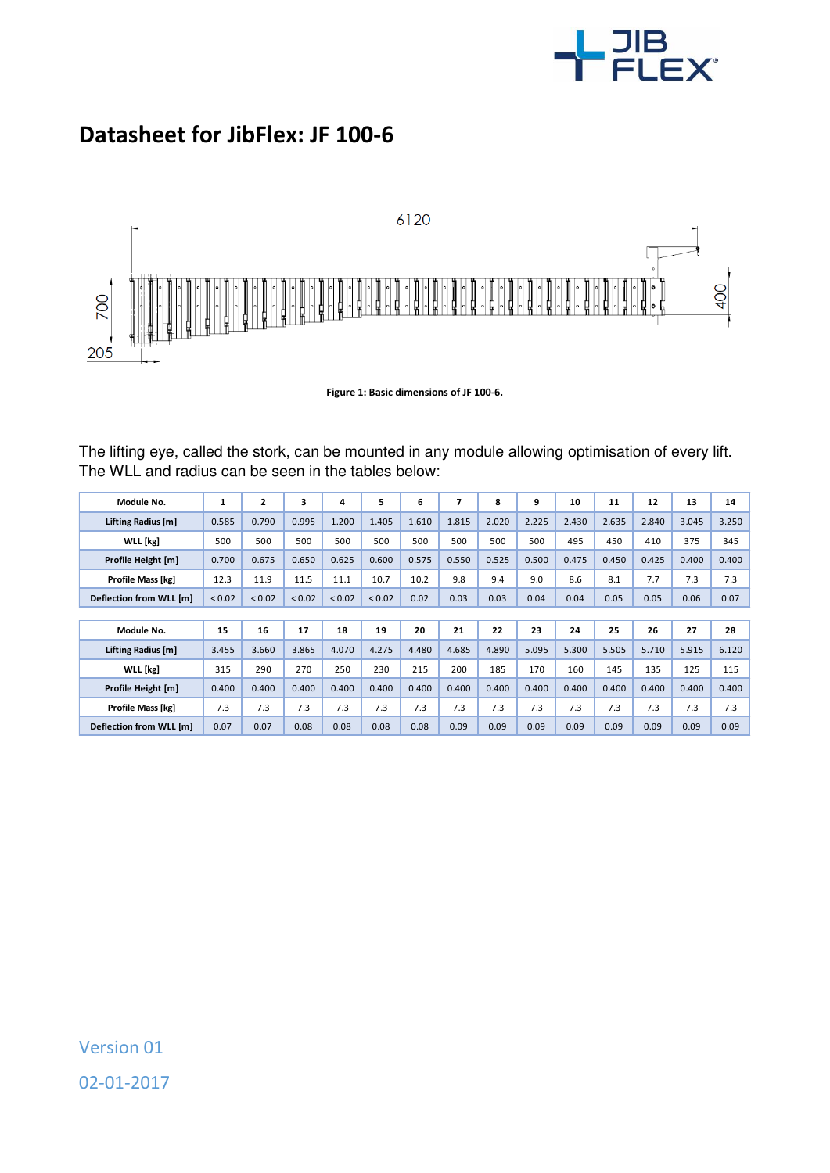

## **Datasheet for JibFlex: JF 100-6**



**Figure 1: Basic dimensions of JF 100-6.** 

The lifting eye, called the stork, can be mounted in any module allowing optimisation of every lift. The WLL and radius can be seen in the tables below:

| Module No.              | 1      | $\mathbf{z}$ | 3      | 4      | 5      | 6     | 7     | 8     | 9     | 10    | 11    | 12    | 13    | 14    |
|-------------------------|--------|--------------|--------|--------|--------|-------|-------|-------|-------|-------|-------|-------|-------|-------|
| Lifting Radius [m]      | 0.585  | 0.790        | 0.995  | 1.200  | 1.405  | 1.610 | 1.815 | 2.020 | 2.225 | 2.430 | 2.635 | 2.840 | 3.045 | 3.250 |
| <b>WLL</b> [kg]         | 500    | 500          | 500    | 500    | 500    | 500   | 500   | 500   | 500   | 495   | 450   | 410   | 375   | 345   |
| Profile Height [m]      | 0.700  | 0.675        | 0.650  | 0.625  | 0.600  | 0.575 | 0.550 | 0.525 | 0.500 | 0.475 | 0.450 | 0.425 | 0.400 | 0.400 |
| Profile Mass [kg]       | 12.3   | 11.9         | 11.5   | 11.1   | 10.7   | 10.2  | 9.8   | 9.4   | 9.0   | 8.6   | 8.1   | 7.7   | 7.3   | 7.3   |
| Deflection from WLL [m] | < 0.02 | < 0.02       | < 0.02 | < 0.02 | < 0.02 | 0.02  | 0.03  | 0.03  | 0.04  | 0.04  | 0.05  | 0.05  | 0.06  | 0.07  |
|                         |        |              |        |        |        |       |       |       |       |       |       |       |       |       |
| Module No.              | 15     | 16           | 17     | 18     | 19     | 20    | 21    | 22    | 23    | 24    | 25    | 26    | 27    | 28    |
| Lifting Radius [m]      | 3.455  | 3.660        | 3.865  | 4.070  | 4.275  | 4.480 | 4.685 | 4.890 | 5.095 | 5.300 | 5.505 | 5.710 | 5.915 | 6.120 |
| <b>WLL</b> [kg]         | 315    | 290          | 270    | 250    | 230    | 215   | 200   | 185   | 170   | 160   | 145   | 135   | 125   | 115   |
| Profile Height [m]      | 0.400  | 0.400        | 0.400  | 0.400  | 0.400  | 0.400 | 0.400 | 0.400 | 0.400 | 0.400 | 0.400 | 0.400 | 0.400 | 0.400 |
| Profile Mass [kg]       | 7.3    | 7.3          | 7.3    | 7.3    | 7.3    | 7.3   | 7.3   | 7.3   | 7.3   | 7.3   | 7.3   | 7.3   | 7.3   | 7.3   |
| Deflection from WLL [m] | 0.07   | 0.07         | 0.08   | 0.08   | 0.08   | 0.08  | 0.09  | 0.09  | 0.09  | 0.09  | 0.09  | 0.09  | 0.09  | 0.09  |